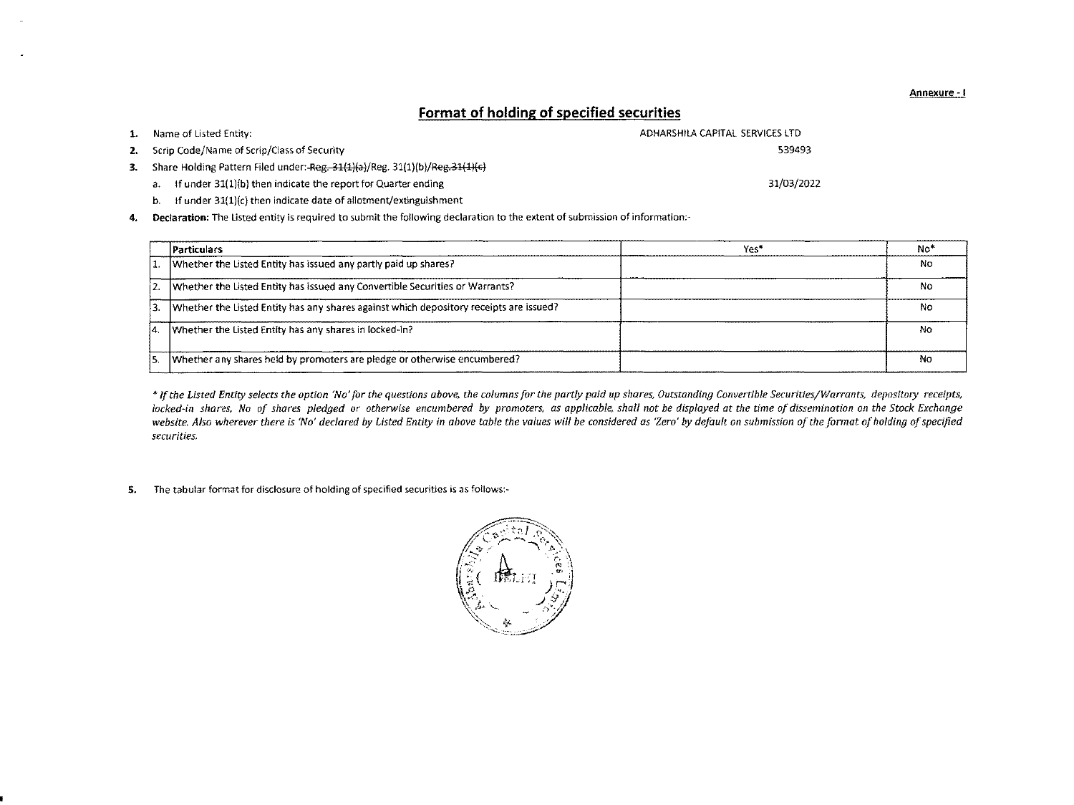|                                                                                 | Format of holding of specified securities |
|---------------------------------------------------------------------------------|-------------------------------------------|
| <b>1.</b> Name of Listed Entity:                                                | ADHARSHILA CAPITAL SERVICES LTD           |
| 2. Scrip Code/Name of Scrip/Class of Security                                   | 539493                                    |
| 3. Share Holding Pattern Filed under: Reg. 31(1)(a)/Reg. 31(1)(b)/Reg. 31(1)(c) |                                           |
| If under 31(1)(b) then indicate the report for Quarter ending<br>a.             | 31/03/2022                                |
| If under $31(1)(c)$ then indicate date of allotment/extinguishment<br>b.        |                                           |

4. Declaration: The Listed entity is required to submit the following declaration to the extent of submission of information:-

|     | <b>Particulars</b>                                                                     | Yes* | No* |
|-----|----------------------------------------------------------------------------------------|------|-----|
|     | 1. Whether the Listed Entity has issued any partly paid up shares?                     |      | No  |
|     | Whether the Listed Entity has issued any Convertible Securities or Warrants?           |      | No  |
|     | Whether the Listed Entity has any shares against which depository receipts are issued? |      | No  |
| İΔ. | Whether the Listed Entity has any shares in locked-in?                                 |      | No  |
|     | Whether any shares held by promoters are pledge or otherwise encumbered?               |      | No  |

\* If the Listed Entity selects the option 'No' for the questions above, the columns for the partly paid up shares, Outstanding Convertible Securities/Warrants, depository receipts, locked-in shares, No of shares pledged or otherwise encumbered by promoters, as applicable, shall not be displayed at the time of dissemination on the Stock Exchange website. Also wherever there is 'No' declared by Listed Entity in above table the values will be considered as 'Zero' by default on submission of the format of holding of specified *securities.*

5. The tabular format for disclosure of holding of specified securities is as follows:-



Annexure -I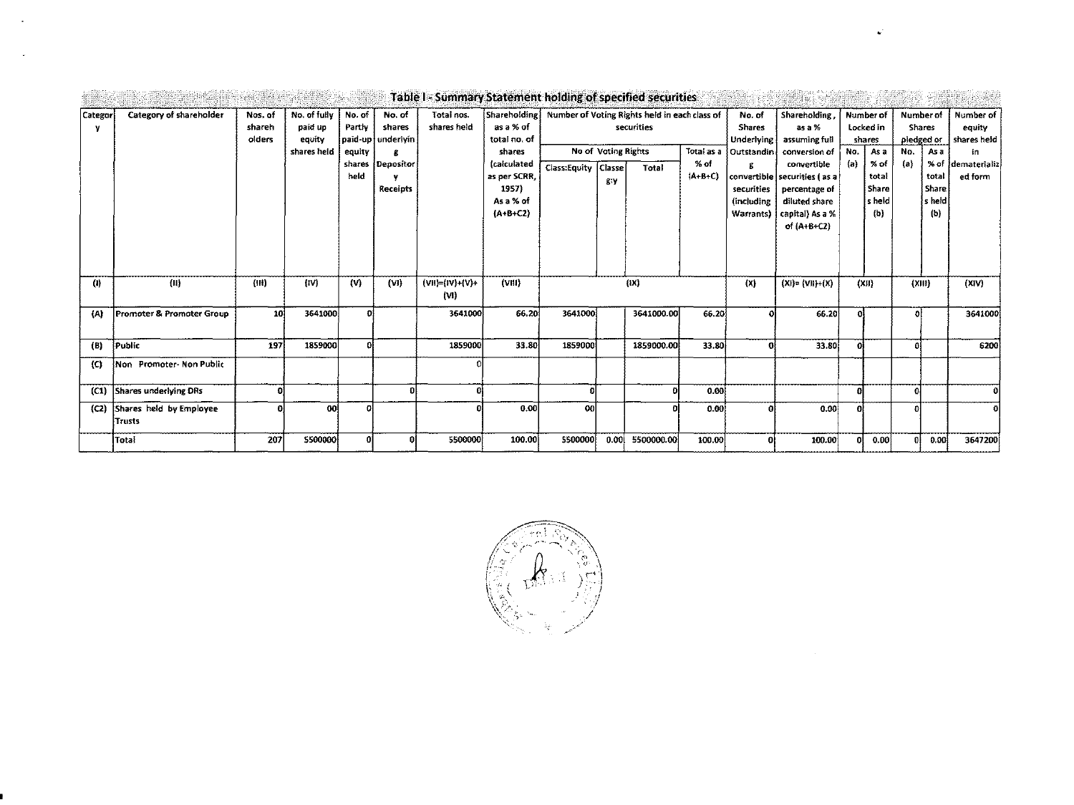|                    |                                   |                             |                                                  |                                                           |                                                        | Table I - Summary Statement holding of specified securities |                                                                                                                              |                     |                                            |                                                                      |                                 |                                                                                                            |                                                                                                                                                                               |              |                                                                                     |            |                                                                                      |                                                                             |
|--------------------|-----------------------------------|-----------------------------|--------------------------------------------------|-----------------------------------------------------------|--------------------------------------------------------|-------------------------------------------------------------|------------------------------------------------------------------------------------------------------------------------------|---------------------|--------------------------------------------|----------------------------------------------------------------------|---------------------------------|------------------------------------------------------------------------------------------------------------|-------------------------------------------------------------------------------------------------------------------------------------------------------------------------------|--------------|-------------------------------------------------------------------------------------|------------|--------------------------------------------------------------------------------------|-----------------------------------------------------------------------------|
| Categor<br>v       | Category of shareholder           | Nos. of<br>shareh<br>olders | No. of fully<br>paid up<br>equity<br>shares held | No. of<br>Partly<br>paid-up<br>equity<br>shares  <br>held | No. of<br>shares<br>underivin<br>Depositor<br>Receipts | Total nos.<br>shares held                                   | Shareholding<br>as a % of<br>total no. of<br>shares<br><i>calculated</i><br>as per SCRR,<br>1957)<br>As a % of<br>$(A+B+C2)$ | Class:Equity Classe | <b>No of Voting Rights</b><br>£Y           | Number of Voting Rights held in each class of<br>securities<br>Total | Total as a<br>% of<br>$(A+B+C)$ | No. of<br><b>Shares</b><br>Underlying<br>Outstandin<br>securities<br><i><b>(including</b></i><br>Warrants) | Shareholding<br>as a %<br>assuming full<br>conversion of<br>convertible<br>convertible securities (as a<br>percentage of<br>diluted share<br>capital) As a %<br>of $(A+B+C2)$ | No.<br>${a}$ | Number of<br>Locked in<br>shares<br>As a<br>% of<br>total<br>Share<br>s held<br>(b) | No.<br>(a) | Number of<br><b>Shares</b><br>pledged or<br>As a<br>total<br>Share<br>ls held<br>(b) | Number of J<br>equity<br>shares held<br>in.<br>% of dematerializ<br>ed form |
| $\left( 0 \right)$ | (11)                              | (H)                         | (IV)                                             | (V)                                                       | (VI)                                                   | $(VII)=(IV)+(V)+(V)$<br>(VI)                                | (VIII)                                                                                                                       |                     | (IX)<br>(x)<br>(X  )<br>$(XI) = (VII)+(X)$ |                                                                      | (XIII)                          |                                                                                                            | (XIV)                                                                                                                                                                         |              |                                                                                     |            |                                                                                      |                                                                             |
| (A)                | Promoter & Promoter Group         | 10                          | 3641000                                          | Ωl                                                        |                                                        | 3641000                                                     | 66.20                                                                                                                        | 3641000             |                                            | 3641000.00                                                           | 66.20                           | οl                                                                                                         | 66.20                                                                                                                                                                         | Ωł           |                                                                                     | n          |                                                                                      | 3641000                                                                     |
| (B)                | Public                            | 197                         | 1859000                                          |                                                           |                                                        | 1859000                                                     | 33.80                                                                                                                        | 1859000             |                                            | 1859000.00                                                           | 33.80                           | o                                                                                                          | 33.80                                                                                                                                                                         | ۵l           |                                                                                     |            |                                                                                      | 6200                                                                        |
| $\mathbf{C}$       | Non Promoter-Non Public           |                             |                                                  |                                                           |                                                        |                                                             |                                                                                                                              |                     |                                            |                                                                      |                                 |                                                                                                            |                                                                                                                                                                               |              |                                                                                     |            |                                                                                      |                                                                             |
| (C <sub>1</sub> )  | Shares underlying DRs             | Ω                           |                                                  |                                                           |                                                        |                                                             |                                                                                                                              | 0                   |                                            | o                                                                    | 0.00                            |                                                                                                            |                                                                                                                                                                               | $\Omega$     |                                                                                     |            |                                                                                      | ΩI                                                                          |
| (2)                | Shares held by Employee<br>Trusts | o                           | 00                                               | o                                                         |                                                        |                                                             | 0.00                                                                                                                         | -ool                |                                            |                                                                      | 0.00                            | ۵l                                                                                                         | 0.00                                                                                                                                                                          | $\mathbf{a}$ |                                                                                     |            |                                                                                      |                                                                             |
|                    | <b>Total</b>                      | 207                         | 5500000                                          | പ                                                         |                                                        | 5500000                                                     | 100.00                                                                                                                       | 5500000             | 0.00                                       | 5500000.00                                                           | 100.00                          | οı                                                                                                         | 100.00                                                                                                                                                                        |              | 0.00                                                                                |            | 0.00                                                                                 | 3647200                                                                     |

ú,

 $\bullet$ 

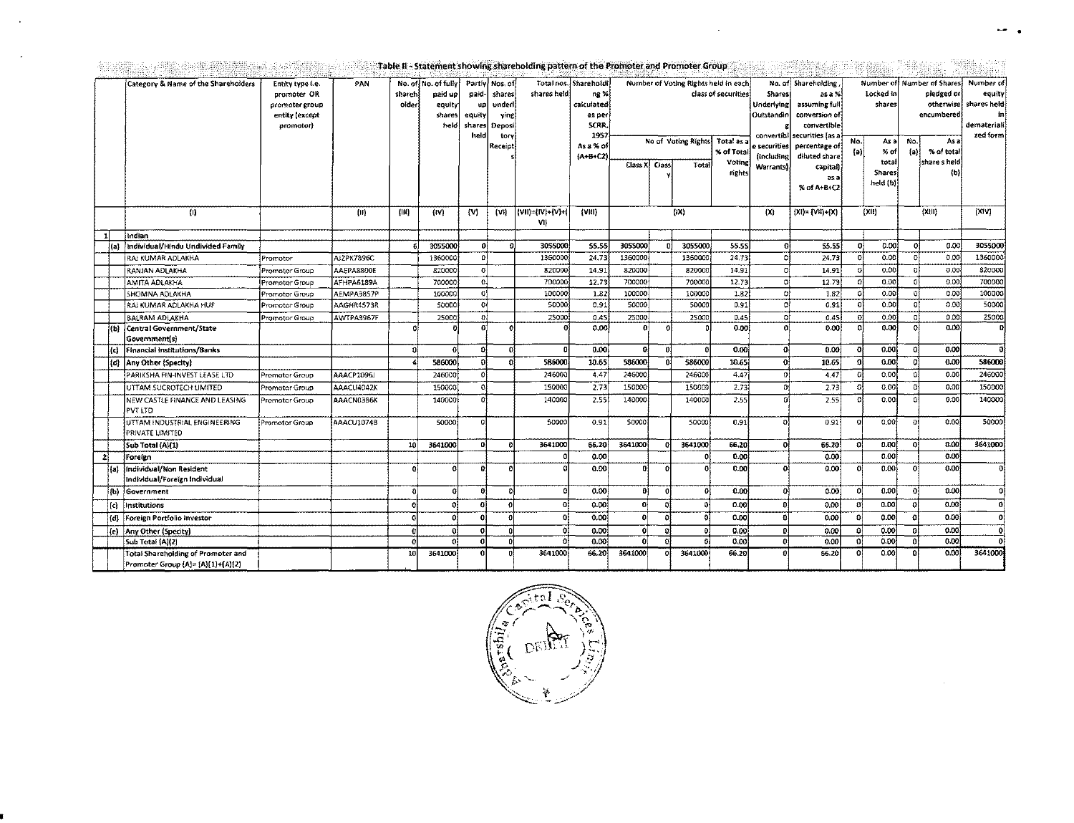| Table II - Statement showing shareholding pattern of the Promoter and Promoter Group |  |  |  |
|--------------------------------------------------------------------------------------|--|--|--|

 $\hat{\mathcal{L}}$ 

 $\mathcal{A}^{\mathcal{A}}$ 

 $\ddot{\phantom{a}}$ 

 $\sim$ 

|    |      | Category & Name of the Shareholders                                            | Entity type i.e.<br>promoter OR<br>promoter group<br>entity (except<br>promotor) | PAN        | shareh<br>older | No. of No. of fully<br>paid up<br>equity<br>shares<br>held | Partly Nos. of<br>paid<br>up<br>equity<br>shares<br>held | shares<br>under<br>ving<br>Deposi<br>tory<br>Receipl | shares held                     | Total nos. Shareholdi<br>ng %<br>calculated<br>as per<br>SCRR.<br>195<br>As a % of<br>$(A - B + C2)$ | No of Voting Rights<br>Class X   Class<br>Total |   |                     |        | Number of Voting Rights held in each<br>class of securities<br>Total as a<br>% of Total<br>Voting |                         |          |                           |          |                    |              | Shares<br>Underlying<br>Outstandin<br>convertibl<br>e securities<br>lincluding<br><b>Warrants</b> | No. of Shareholding<br>as a %<br>assuming full<br>conversion of<br>convertible<br>securities [as a<br>percentage of<br>diluted share<br>capital) | No.<br>(a) | Locked in<br>shares<br>As a<br>% of<br>total | No.<br>$\{a\}$ | Number of Number of Shares<br>pledged or<br>otherwise<br>encumbered<br>As a<br>% of total<br>share sheld | Number of<br>equity]<br>shares held<br>int<br>demateriali<br>zed form) |
|----|------|--------------------------------------------------------------------------------|----------------------------------------------------------------------------------|------------|-----------------|------------------------------------------------------------|----------------------------------------------------------|------------------------------------------------------|---------------------------------|------------------------------------------------------------------------------------------------------|-------------------------------------------------|---|---------------------|--------|---------------------------------------------------------------------------------------------------|-------------------------|----------|---------------------------|----------|--------------------|--------------|---------------------------------------------------------------------------------------------------|--------------------------------------------------------------------------------------------------------------------------------------------------|------------|----------------------------------------------|----------------|----------------------------------------------------------------------------------------------------------|------------------------------------------------------------------------|
|    |      |                                                                                |                                                                                  |            |                 |                                                            |                                                          |                                                      |                                 |                                                                                                      |                                                 |   |                     | rights |                                                                                                   | as a<br>% of A+B+C2     |          | <b>Shares</b><br>held (b) |          | (b)                | (XIV)        |                                                                                                   |                                                                                                                                                  |            |                                              |                |                                                                                                          |                                                                        |
|    |      | (1)                                                                            |                                                                                  | Ш          | (III)           | (W)                                                        | $\mathbf{[V]}$                                           | (Vi)                                                 | $ V1  =  V  +  V  +  V $<br>VII | (VIII)                                                                                               |                                                 |   | (1)                 |        | (x)                                                                                               | $[X] = \{V11\} + \{X\}$ |          | {XII}                     |          | ${(\chi, \{ \} )}$ |              |                                                                                                   |                                                                                                                                                  |            |                                              |                |                                                                                                          |                                                                        |
|    |      | indian                                                                         |                                                                                  |            |                 |                                                            |                                                          |                                                      |                                 |                                                                                                      |                                                 |   |                     |        |                                                                                                   |                         |          |                           |          |                    |              |                                                                                                   |                                                                                                                                                  |            |                                              |                |                                                                                                          |                                                                        |
|    |      | individual/Hindu Undivided Family                                              |                                                                                  |            | £.              | 3055000                                                    | ۵l                                                       | $\Omega$                                             | 3055000                         | 55.55                                                                                                | 3055000                                         |   | 3055000             | 55.55  | n                                                                                                 | 55.55                   | -ni      | 0.001                     | οſ       | 0.00               | 3055000      |                                                                                                   |                                                                                                                                                  |            |                                              |                |                                                                                                          |                                                                        |
|    |      | <b>RAJ KUMAR ADLAKHA</b>                                                       | Promotor                                                                         | AJZPK7896C |                 | 1360000                                                    | n                                                        |                                                      | 1360000                         | 24.73                                                                                                | 1360000                                         |   | 1360000             | 24.73  |                                                                                                   | 24.73                   |          | 0.00                      | $\Omega$ | 0,00               | 1360000      |                                                                                                   |                                                                                                                                                  |            |                                              |                |                                                                                                          |                                                                        |
|    |      | İRANJAN ADLAKHA                                                                | Promotor Group                                                                   | AAEPA8800E |                 | 820000                                                     | <sub>G</sub>                                             |                                                      | 820000                          | 14.91                                                                                                | 820000                                          |   | 820000              | 14.91  | n                                                                                                 | 14.91                   |          | 0,00                      | $\Omega$ | 0.00               | 820000       |                                                                                                   |                                                                                                                                                  |            |                                              |                |                                                                                                          |                                                                        |
|    |      | AMITA ADLAKHA                                                                  | Promotor Group                                                                   | AFHPA6189A |                 | 700000                                                     | -cl                                                      |                                                      | 700000                          | 12.73                                                                                                | 700000                                          |   | 700000              | 12.73  | Di                                                                                                | 12.73                   | 0l       | 0.001                     | 01       | 0.00               | 700000       |                                                                                                   |                                                                                                                                                  |            |                                              |                |                                                                                                          |                                                                        |
|    |      | SHOMNA ADLAKHA                                                                 | Promotor Group                                                                   | AEMPA3857P |                 | 100000                                                     | 0                                                        |                                                      | 100000                          | 1.82                                                                                                 | 100000                                          |   | 100000              | 1.82   | D.                                                                                                | 1.82                    | Ð        | 0.00                      | Ð        | 0.00               | 100000       |                                                                                                   |                                                                                                                                                  |            |                                              |                |                                                                                                          |                                                                        |
|    |      | RAJ KUMAR ADLAKHA HUF                                                          | Promotor Group                                                                   | AAGHR4573R |                 | 50000                                                      | oł                                                       |                                                      | 50000                           | 0.91                                                                                                 | 50000                                           |   | 50000               | 0.91   | o                                                                                                 | 0.91                    | Ð        | 0.00                      | οį       | 0.00               | 50000        |                                                                                                   |                                                                                                                                                  |            |                                              |                |                                                                                                          |                                                                        |
|    |      | <b>BALRAM ADLAKHA</b>                                                          | Promotor Group                                                                   | AWTPA3967F |                 | 25000                                                      | 0.                                                       |                                                      | 25000                           | 0.45                                                                                                 | 25000                                           |   | 25000               | 0.45   | ۵ł                                                                                                | 0.45                    | Ð        | 0.00                      | οl       | 0.00               | 25000        |                                                                                                   |                                                                                                                                                  |            |                                              |                |                                                                                                          |                                                                        |
|    | 'Ы   | Central Government/State<br>Government(s)                                      |                                                                                  |            |                 |                                                            | U.                                                       |                                                      |                                 | 0.00                                                                                                 | o                                               |   |                     | 0.00   |                                                                                                   | 0.00                    |          | 0.00                      | 0l       | 0.00               | $\mathbf{a}$ |                                                                                                   |                                                                                                                                                  |            |                                              |                |                                                                                                          |                                                                        |
|    | l c) | Financial Institutions/Banks                                                   |                                                                                  |            | ol              | $\Omega$                                                   | ΩÍ                                                       | $\Omega$                                             | n.                              | 0.00                                                                                                 | o.                                              | n |                     | 0.00   | O,                                                                                                | 0.00                    |          | 0.00                      | n.       | 0.00               | ol           |                                                                                                   |                                                                                                                                                  |            |                                              |                |                                                                                                          |                                                                        |
|    | (d)  | Any Other (Specity)                                                            |                                                                                  |            |                 | 586000                                                     | Ωĺ                                                       | -ni                                                  | 586000                          | 10.65                                                                                                | 586000                                          |   | 586000              | 10.65  | Οİ                                                                                                | 10.65                   | n        | 0.00                      | οi       | 0.00               | 586000       |                                                                                                   |                                                                                                                                                  |            |                                              |                |                                                                                                          |                                                                        |
|    |      | PARIKSHA FIN-INVEST LEASE LTD                                                  | Promotor Group                                                                   | AAACP1096J |                 | 246000                                                     | n.                                                       |                                                      | 246000                          | 4.47                                                                                                 | 246000                                          |   | 246000              | 4.47   | $\Omega$                                                                                          | 4.47                    |          | 0.00                      |          | 0.00               | 246000       |                                                                                                   |                                                                                                                                                  |            |                                              |                |                                                                                                          |                                                                        |
|    |      | UTTAM SUCROTECH LIMITED                                                        | Promotor Group                                                                   | AAACU4042K |                 | 150000                                                     | οi                                                       |                                                      | 150000                          | 2.73                                                                                                 | 150000                                          |   | 150000              | 2.73   | Ωŧ                                                                                                | 2.73                    |          | 0.00                      | $\Omega$ | 0.00               | 150000       |                                                                                                   |                                                                                                                                                  |            |                                              |                |                                                                                                          |                                                                        |
|    |      | NEW CASTLE FINANCE AND LEASING<br>PVTLTD                                       | Promotor Group                                                                   | AAACN0386K |                 | 140000                                                     |                                                          |                                                      | 140000                          | 2.55                                                                                                 | 140000                                          |   | 140000              | 2.55   | $\Omega$                                                                                          | 2.55                    |          | 0.001                     |          | 0.00               | 140000       |                                                                                                   |                                                                                                                                                  |            |                                              |                |                                                                                                          |                                                                        |
|    |      | UTTAM INDUSTRIAL ENGINEERING<br>PRIVATE LIMITED                                | Promotor Group                                                                   | AAACU1074B |                 | 50000                                                      | a                                                        |                                                      | 50000                           | 0.91                                                                                                 | 50000                                           |   | 50000               | 0.91   | ol                                                                                                | 0.91                    | $\Omega$ | 0.00                      | οI       | 0.00               | 50000        |                                                                                                   |                                                                                                                                                  |            |                                              |                |                                                                                                          |                                                                        |
|    |      | Sub Total (A)(1)                                                               |                                                                                  |            | <b>10</b>       | 3641000                                                    | ol                                                       | Ð                                                    | 3641000                         | 66.20                                                                                                | 3641000                                         |   | 3641000             | 66.20  | οl                                                                                                | 66.20                   | -0       | 0.00                      | $\Omega$ | 0.00               | 3641000      |                                                                                                   |                                                                                                                                                  |            |                                              |                |                                                                                                          |                                                                        |
| 21 |      | Foreign                                                                        |                                                                                  |            |                 |                                                            |                                                          |                                                      | A                               | 0.00                                                                                                 |                                                 |   |                     | 0.00   |                                                                                                   | 0.00                    |          | 0.00                      |          | 0.00               |              |                                                                                                   |                                                                                                                                                  |            |                                              |                |                                                                                                          |                                                                        |
|    | fal  | Individual/Non Resident<br>Individual/Foreign Individual                       |                                                                                  |            | n               | G                                                          | Ð                                                        | $\Omega$                                             | -0                              | 0.00                                                                                                 | οl                                              | c |                     | 0.00   | Ð                                                                                                 | 0,00                    | n        | 0.00                      | Ωł       | 0.00               | ot           |                                                                                                   |                                                                                                                                                  |            |                                              |                |                                                                                                          |                                                                        |
|    | (b)  | Government                                                                     |                                                                                  |            | ũ               |                                                            |                                                          | n                                                    | G                               | 0.00                                                                                                 | ÐÌ                                              |   |                     | 0.00   | ol                                                                                                | 0.00                    | $\Omega$ | 0.00                      | Ωİ       | 0.00               | o            |                                                                                                   |                                                                                                                                                  |            |                                              |                |                                                                                                          |                                                                        |
|    | (d)  | Institutions                                                                   |                                                                                  |            |                 | n                                                          |                                                          | $\mathbf{r}$                                         | $\Omega$                        | 0.00                                                                                                 | $\mathbf{0}$                                    |   | $\ddot{\mathbf{0}}$ | 0.00   | Đ                                                                                                 | 0.00                    | Ω        | 0.00                      | o        | 0.00               | O            |                                                                                                   |                                                                                                                                                  |            |                                              |                |                                                                                                          |                                                                        |
|    | (d)  | Foreign Portfolio Investor                                                     |                                                                                  |            |                 | n                                                          |                                                          |                                                      | Ωl                              | 0.00                                                                                                 | ۵ł                                              |   | -0İ                 | 0.00   | Ð                                                                                                 | 0.00                    | $\Omega$ | 0.00                      |          | 0.00               | ol           |                                                                                                   |                                                                                                                                                  |            |                                              |                |                                                                                                          |                                                                        |
|    |      | (e) Any Other (Specity)                                                        |                                                                                  |            |                 |                                                            |                                                          |                                                      | $\Omega$                        | 0.00                                                                                                 | 0                                               |   | $\theta$            | 0.00   | Đ                                                                                                 | 0.00                    | Đ.       | 0.00                      | $\Omega$ | 0.03               | n            |                                                                                                   |                                                                                                                                                  |            |                                              |                |                                                                                                          |                                                                        |
|    |      | Sub Total (A)(2)                                                               |                                                                                  |            | n               | n                                                          | n                                                        | $\mathbf{0}$                                         | $\Omega$                        | 0.00                                                                                                 | O.                                              |   | $\mathbf{f}$        | 0.00   | Ð                                                                                                 | 0.00                    | Ω        | 0.00                      | Ω        | 0.00               |              |                                                                                                   |                                                                                                                                                  |            |                                              |                |                                                                                                          |                                                                        |
|    |      | <b>Total Shareholding of Promoter and</b><br>Promoter Group (A)= {A}(1)+(A)(2) |                                                                                  |            | 10              | 3641000                                                    | ΩI                                                       | n                                                    | 3641000                         | 66.20                                                                                                | 3641000                                         |   | 3641000             | 66.20  | $\mathbf{0}$                                                                                      | 66.20                   | n.       | 0.00                      | n        | 0.00               | 3641000      |                                                                                                   |                                                                                                                                                  |            |                                              |                |                                                                                                          |                                                                        |

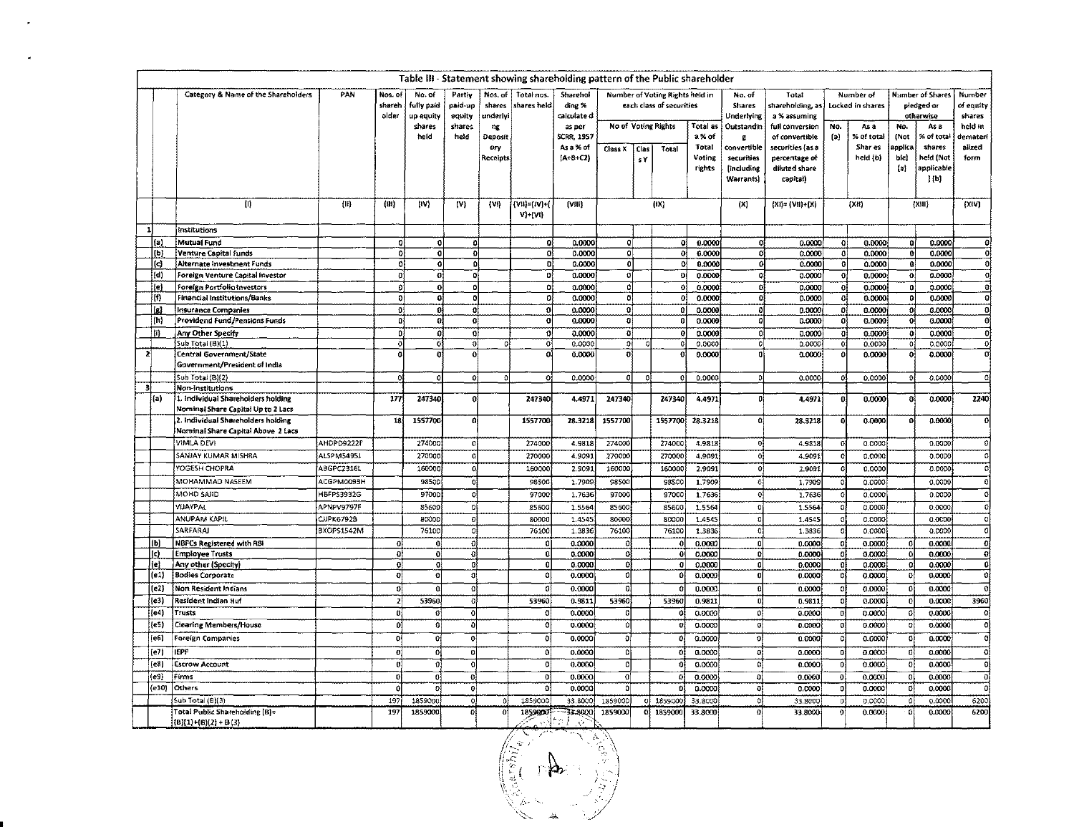|                         |            |                                                                          | Table III - Statement showing shareholding pattern of the Public shareholder |                            |                                   |                             |                               |                                   |                                   |                          |                     |                                                             |                           |                                         |                                                    |            |                               |                            |                                                    |                               |
|-------------------------|------------|--------------------------------------------------------------------------|------------------------------------------------------------------------------|----------------------------|-----------------------------------|-----------------------------|-------------------------------|-----------------------------------|-----------------------------------|--------------------------|---------------------|-------------------------------------------------------------|---------------------------|-----------------------------------------|----------------------------------------------------|------------|-------------------------------|----------------------------|----------------------------------------------------|-------------------------------|
|                         |            | Category & Name of the Shareholders                                      | PAN                                                                          | Nos. of<br>shareh<br>older | No. of<br>fully paid<br>up equity | Partiy<br>paid-up<br>equity | Nos. of<br>shares<br>underlyi | Total nos.<br>shares held         | Sharehol<br>ding %<br>calculate d |                          |                     | Number of Voting Rights held in<br>each class of securities |                           | No. of<br>Shares<br>Underlying          | Total<br>shareholding, as<br>a % assuming          |            | Number of<br>Locked in shares |                            | <b>Number of Shares</b><br>pledged or<br>otherwise | Number<br>or equity<br>shares |
|                         |            |                                                                          |                                                                              |                            | shares<br>held                    | shares<br>held              | $\mathbf{u}$<br>Deposit       |                                   | as per<br><b>SCRR, 1957</b>       |                          | No of Voting Rights |                                                             | Total as<br>a% of         | Outstandin<br>g.                        | full conversion<br>of convertible                  | No.<br>(a) | As a<br>% of total            | No.<br>(Not                | As a<br>% of total                                 | held in<br>demateri           |
|                         |            |                                                                          |                                                                              |                            |                                   |                             | ery<br>Receipts               |                                   | As a % of<br>$(A+B+C2)$           | Class X                  | Clas<br>sY.         | Total                                                       | Total<br>Voting<br>rights | coavertible<br>securities<br>lincluding | securities (as a<br>percentage of<br>diluted snare |            | Shar es<br>held (b)           | applica<br>bie)<br>$\{a\}$ | shares<br>held (Not<br>applicable                  | alized<br>form                |
|                         |            |                                                                          |                                                                              |                            |                                   |                             |                               |                                   |                                   |                          |                     |                                                             |                           | <b>Warrants</b>                         | capital)                                           |            |                               |                            | $\mathbf{j}$ (b)                                   |                               |
|                         |            | U)                                                                       | $\{1\}$                                                                      | (眼)                        | (IV)                              | (V)                         | $\{V_i\}$                     | $\{V11\} = (IV) *$<br>$V$ + $(V)$ | [Vili]                            |                          |                     | (X)                                                         |                           | (X)                                     | $[X] = \{V\}\ + \{X\}$                             |            | (XH)                          |                            | (XH)                                               | (X;V)                         |
|                         |            | institutions                                                             |                                                                              |                            |                                   |                             |                               |                                   |                                   |                          |                     |                                                             |                           |                                         |                                                    |            |                               |                            |                                                    |                               |
|                         | (a)        | Mutual Fund                                                              |                                                                              | 0                          | 0                                 | ٥l                          |                               | O)                                | 0.0000                            | -0                       |                     | ٥ĺ                                                          | 0.0000                    | 0                                       | 0.0000                                             | 0          | 0.0000                        | Ωi                         | 0.0000                                             | $\mathbf 0$                   |
|                         | 1          | Venture Capital Funds                                                    |                                                                              | o                          | $\mathbf{0}$                      | $\mathbf{0}$                |                               | υi                                | 0.0000                            | <b>O</b>                 |                     |                                                             | 0.0000                    | 0                                       | 0.0000                                             | 0          | 0.0000                        |                            | 0.0000                                             | o                             |
|                         | l(c)       | Alternate investment Funds                                               |                                                                              | O.                         | O.                                | Đ                           |                               | Đ,                                | 0.0000                            | 0                        |                     | o                                                           | 0.0000                    | O                                       | 0.0000                                             | ٥l         | 0.0000                        | -01                        | 0.0000                                             | $\theta$                      |
|                         | (d)        | Foreign Venture Capital Investor                                         |                                                                              | ō                          | o.                                | 0İ                          |                               | ol                                | 0.0000                            | $\overline{0}$           |                     | Ð                                                           | 0.0000                    | Ð                                       | 0.0000                                             | 0ł         | 0.0000                        | o                          | 0.0000                                             | O,                            |
|                         | le)        | Foreign Portfolio Investors                                              |                                                                              | οl                         | $\overline{0}$                    | $\mathbf 0$                 |                               | 0l                                | 0.0000                            | 0<br>οl                  |                     |                                                             | 0.0000                    | $\Omega$<br>$\Omega$                    | 0.0000                                             | ol         | 0.0000                        |                            | 0.0000                                             | ō<br>$\Omega$                 |
|                         | m          | <b>Financial Institutions/Banks</b>                                      |                                                                              | ۵l                         | ٥l                                | $\mathbf{o}$                |                               | ٥l                                | 0.0000                            |                          |                     |                                                             | 0.0000                    |                                         | 0.0000                                             | -01        | 0.0000                        |                            | 0.0000                                             |                               |
|                         | (h)        | <b>Insurance Companies</b><br><b>Providend Fund/Pensions Funds</b>       |                                                                              | $\mathbf{0}$<br>0          | o<br>0İ                           | $\mathbf{o}$<br>0ļ          |                               | $\mathbf{0}$<br>o                 | 0.0000<br>0.0000                  | $\Omega$<br>$\mathbf{0}$ |                     |                                                             | 0.0000<br>0.0000          | Ð<br>O                                  | 0.0000<br>0.0000                                   | Đ.<br>٥l   | 0.0000<br>0.0000              |                            | 0.0000<br>0.0000                                   | Q.<br>O                       |
|                         |            |                                                                          |                                                                              |                            |                                   |                             |                               |                                   |                                   |                          |                     |                                                             |                           |                                         |                                                    |            |                               |                            |                                                    |                               |
|                         | m          | Any Other Specify<br>Sub Total (B)(1)                                    |                                                                              | $\Omega$<br>$\Omega$       | ol<br>o                           | $\Omega$<br>$\sigma$        | ΩÌ                            | $\sigma$<br>$\overline{o}$        | 0.0000<br>0.0000                  | $\Omega$<br>οĪ           |                     |                                                             | 0.0000<br>0.0000          | $\Omega$<br>$\pmb{\circ}$               | 0.0000<br>0.0000                                   | ٥l         | 0.0000<br>0.0000              | $\Omega$                   | 0.0000<br>0.0000                                   | $\mathbf{0}$<br>$\mathbf{0}$  |
| $\overline{\mathbf{z}}$ |            | <b>Central Government/State</b>                                          |                                                                              |                            | 0                                 | $\ddot{\mathbf{0}}$         |                               | 0                                 | 0.0000                            | $\overline{0}$           |                     |                                                             | 0.0000                    | 0                                       | 0.0000                                             | 01         | 0.0000                        |                            | 0.0000                                             | oj                            |
|                         |            | Government/President of India                                            |                                                                              |                            |                                   |                             |                               |                                   |                                   |                          |                     |                                                             |                           |                                         |                                                    |            |                               |                            |                                                    |                               |
|                         |            | Sub Total (B)(2)                                                         |                                                                              |                            | $\mathbf{0}$                      | $\Omega$                    | ₫                             | o                                 | 0.0000                            | o                        |                     |                                                             | 0.0000                    |                                         | 0.0000                                             | o          | 0,0000                        |                            | 0.0000                                             | oj                            |
| зI                      |            | Non-Institutions                                                         |                                                                              |                            |                                   |                             |                               |                                   |                                   |                          |                     |                                                             |                           |                                         |                                                    |            |                               |                            |                                                    |                               |
|                         | (a)        | 1. Individual Shareholders holding<br>Nominal Share Capital Up to 2 Lacs |                                                                              | 177                        | 247340                            | $\boldsymbol{0}$            |                               | 247340                            | 4.4971                            | 247340                   |                     | 247340                                                      | 4.4971                    | o                                       | 4,4971                                             | ٥l         | 0.0000                        |                            | 0.0000                                             | 2240                          |
|                         |            | 2. Individual Shareholders holding                                       |                                                                              | 18                         | 1557700                           | οi                          |                               | 1557700                           | 28.3218                           | 1557700                  |                     | 1557700                                                     | 28.3218                   | $\Omega$                                | 28,3218                                            |            | 0.0000                        |                            | 0.0000                                             | 0                             |
|                         |            | Nominal Share Capital Above 2 Lacs                                       |                                                                              |                            |                                   |                             |                               |                                   |                                   |                          |                     |                                                             |                           |                                         |                                                    |            |                               |                            |                                                    |                               |
|                         |            | VIMLA DEVI                                                               | AHDPD9222F                                                                   |                            | 274000                            | <sub>0</sub>                |                               | 274000                            | 4.9818                            | 274000                   |                     | 274000                                                      | 4.9813                    | $\circ$                                 | 4.9818                                             |            | 0.0000                        |                            | 0.0000                                             | -O j                          |
|                         |            | SANJAY KUMAR MISHRA                                                      | <b>ALSPM5495J</b>                                                            |                            | 270000                            | Q                           |                               | 270000                            | 4.9091                            | 270000                   |                     | 270000                                                      | 4.9091                    | $\circ$                                 | 4.9091                                             |            | 0.0000                        |                            | 0.0000                                             | $\circ$                       |
|                         |            | YOGESH CHOPRA                                                            | ABGPC2316L                                                                   |                            | 160000                            | 0                           |                               | 160000                            | 2.9092                            | 160000                   |                     | 160000                                                      | 2.9091                    | 0                                       | 2.9091                                             |            | 0.0000                        |                            | 0.0000                                             | $\overline{\mathbf{c}}$       |
|                         |            | MOHAMMAD NASEEM                                                          | ACGPM0093H                                                                   |                            | 98500                             | O                           |                               | 98500                             | 1.7909                            | 98500                    |                     | 98500                                                       | 1.7909                    | $\ddot{\text{o}}$                       | 1.7909                                             |            | 0.0000                        |                            | 0.0000                                             | $\Omega$                      |
|                         |            | MOHD SAJID                                                               |                                                                              |                            |                                   |                             |                               |                                   |                                   |                          |                     |                                                             |                           |                                         |                                                    |            |                               |                            |                                                    |                               |
|                         |            |                                                                          | HBFP53932G                                                                   |                            | 97000                             | $\circ$                     |                               | 97000                             | 1.7636                            | 97000                    |                     | 97000                                                       | 1.7636                    | 0                                       | 1.7636                                             |            | 0.0000                        |                            | 0.0000                                             | $\bullet$                     |
|                         |            | VIJAYPAL                                                                 | APNPV9797F                                                                   |                            | 85600                             | o                           |                               | 85600                             | 1.5564                            | 85600                    |                     | 85600                                                       | 1.5564                    | 0                                       | 1.5564                                             |            | 0,0000                        |                            | 0.0000                                             | 0                             |
|                         |            | ANUPAM KAPIL                                                             | <b>CJPK6792B</b>                                                             |                            | 80000                             | o                           |                               | 80000                             | 1.4545                            | 80000                    |                     | 80000                                                       | 1.4545                    | 0                                       | 1.4545                                             |            | 0.0000                        |                            | 0.0000                                             | 0                             |
|                         |            | SARFARAJ                                                                 | BXOPS1542M                                                                   |                            | 76100                             | o                           |                               | 76100                             | 1.3836                            | 76100                    |                     | 76100                                                       | 1,3836                    | $\Omega$                                | 1.3836                                             |            | 0.0000                        |                            | 0.0000                                             | $\Omega$                      |
|                         | (b)        | <b>NBFCs Registered with RBI</b>                                         |                                                                              | ۵l                         | G.                                | ō                           |                               | ol                                | 0.0000                            | ol                       |                     |                                                             | 0.0000                    | ol                                      | 0.0000                                             |            | 0.0000                        |                            | 0.0000                                             | $\overline{\mathbf{c}}$       |
|                         | (c)<br>je! | <b>Employee Trusts</b>                                                   |                                                                              | Đ<br>oļ                    | 0<br>O,                           | ol<br>ø                     |                               | $\mathbf{0}$<br>0                 | 0.0000                            | $\Omega$<br>o            |                     | -0                                                          | 0.0000                    | $\mathfrak{g}$<br>0                     | 0.0000                                             | O          | 0.0000                        | o<br>$\Omega$              | 0.0000                                             | -ol<br>$\mathbf{0}$           |
|                         | (e1)       | Any other (Spechy)<br><b>Bodies Corporate</b>                            |                                                                              | $\overline{\mathbf{0}}$    | 0                                 | ٥l                          |                               | ٥l                                | 0.0000<br>0.0000                  | ō                        |                     | 0                                                           | 0.0000<br>0.0000          | ø                                       | 0.0000<br>0.0000                                   |            | 0.0000<br>0.0000              | o                          | 0.0000<br>0,0000                                   | -cl                           |
|                         |            |                                                                          |                                                                              |                            |                                   |                             |                               |                                   |                                   | [0]                      |                     |                                                             |                           |                                         |                                                    |            |                               |                            |                                                    | -el                           |
|                         | (e2)       | Non Resident Indians                                                     |                                                                              | ٥l                         | 0                                 | ٥Į                          |                               | 0ļ                                | 0.0000                            |                          |                     |                                                             | 0.0000                    | o                                       | 0.0000                                             | 0          | 0.0000                        |                            | 0.0000                                             |                               |
|                         | (e3)       | Resident Indian Huf                                                      |                                                                              | zl                         | 53960                             | ÐÌ                          |                               | 53960                             | 0.9811                            | 53960                    |                     | 53960                                                       | 0.9811                    | D.                                      | 0.9811                                             | Ð          | 0.0000                        |                            | 0.0000                                             | 3960                          |
|                         | $[$ e4}    | Trusts                                                                   |                                                                              | n                          | $\mathbf{G}$                      | Ō                           |                               | O                                 | 0.0000                            | O                        |                     |                                                             | 0.0000                    | 0                                       | 0.0000                                             |            | 0.0000                        | O                          | 0.0000                                             | -C)                           |
|                         | (eS)       | <b>Clearing Members/House</b>                                            |                                                                              | o                          | -0l                               | $\Omega$                    |                               | 0l                                | 0.0000                            | οI                       |                     | $\Omega$                                                    | 0.0000                    | G.                                      | 0.0000                                             |            | 0.0000                        | $\Omega$                   | 0.0000                                             | -cl                           |
|                         | (e6)       | <b>Foreign Companies</b>                                                 |                                                                              | o                          | ۵ł                                | оł                          |                               | O                                 | 0.0000                            | οl                       |                     |                                                             | 0.0000                    | Đ.                                      | 0.0000                                             |            | 0.0000                        | O                          | 0.0000                                             | -ol                           |
|                         | (e7)       | <b>IEPF</b>                                                              |                                                                              | ol                         | $\mathbf{0}$                      | ń                           |                               | ٥l                                | 0.0000                            | ol                       |                     | n                                                           | 0.0000                    | $\mathbf{0}$                            | 0.0000                                             |            | 0.0000                        | Ð                          | 0.0000                                             | ol                            |
|                         | (e8)       | <b>Escrow Account</b>                                                    |                                                                              | οl                         | -al                               | $\alpha$                    |                               | 0ļ                                | 0.0000                            | ol                       |                     |                                                             | 0.0000                    | ol                                      | 0.0000                                             |            | 0.0000                        | n,                         | 0.0000                                             | оl                            |
|                         | (e9)       | Firms                                                                    |                                                                              | G)                         | ٥ł                                | 0ł                          |                               | οi                                | 0.0000                            | οſ                       |                     | $\Omega$                                                    | 0.0000                    | 0l                                      | 0.0000                                             | o          | 0.0000                        | $\Omega$                   | 0.0000                                             | Đ,                            |
|                         | (e10)      | Others                                                                   |                                                                              |                            | οł                                | Ū.                          |                               |                                   | 0.0000                            | Ō                        |                     |                                                             | 0.0000                    | 0                                       | 0.0000                                             |            | 0.0000                        |                            | 0.0000                                             | [G                            |
|                         |            | Sub Total (B)(3)                                                         |                                                                              | 197                        | 1859000                           | $\circ$                     | Đ.                            | 1859000                           | 33.8000                           | 1859000                  | οI                  | 1859000                                                     | 33.8000                   | ol                                      | 33.8000                                            |            | 0.0000                        | Ω                          | 0.0000                                             | 6200                          |
|                         |            | Total Public Shareholding (B)=<br>$(B)(1)+(B)(2)+B(3)$                   |                                                                              | 197                        | 1859000                           | n                           | n                             | 18,9000<br>よすの                    | 33.9000<br>- 69                   | 1859000                  |                     | 0 1859000                                                   | 33.8000                   | o                                       | 33.8000                                            |            | 0.0000                        | -9                         | 0.0000                                             | 6200                          |

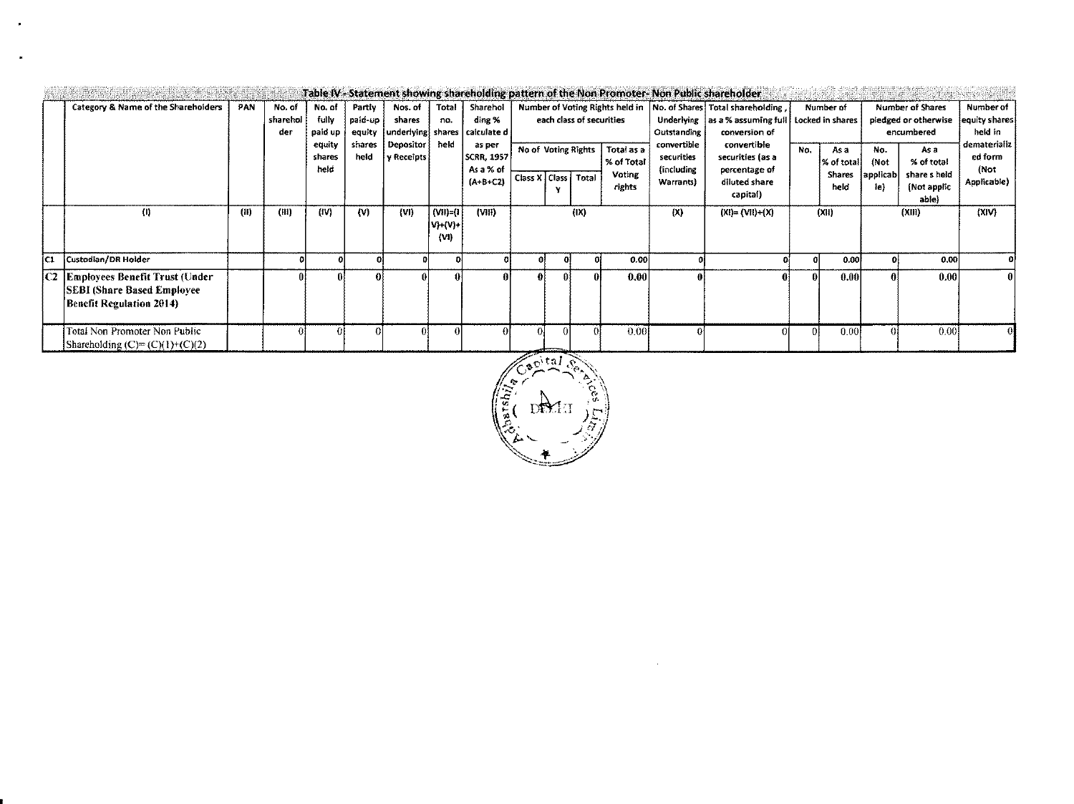|     |                                                                                                     |            |                           |                                                        |                                               |                                                                   |                                 |                                                                               |  |                                                                                                                         |      |                          |           | Table IV - Statement showing shareholding pattern of the Non Promoter- Non Public shareholder |  |                |                  |                                      |             |                                          |  |  |                                                        |                                                                                                                       |     |                                  |             |                                                                                     |                                                                          |
|-----|-----------------------------------------------------------------------------------------------------|------------|---------------------------|--------------------------------------------------------|-----------------------------------------------|-------------------------------------------------------------------|---------------------------------|-------------------------------------------------------------------------------|--|-------------------------------------------------------------------------------------------------------------------------|------|--------------------------|-----------|-----------------------------------------------------------------------------------------------|--|----------------|------------------|--------------------------------------|-------------|------------------------------------------|--|--|--------------------------------------------------------|-----------------------------------------------------------------------------------------------------------------------|-----|----------------------------------|-------------|-------------------------------------------------------------------------------------|--------------------------------------------------------------------------|
|     | Category & Name of the Shareholders                                                                 | <b>PAN</b> | No. of<br>sharehol<br>der | No. of<br>fully<br>paid up<br>equity<br>shares<br>held | Partiv<br>paid-up<br>equity<br>shares<br>held | Nos. of<br>shares<br>underlying shares<br>Depositor<br>y Receipts | Total<br>no.<br>held            | Sharehol<br>ding %<br>calculate d<br>as per<br><b>SCRR, 1957</b><br>As a % of |  | Number of Voting Rights held in   No. of Shares   Total shareholding<br>each class of securities<br>No of Voting Rights |      | Total as a<br>% of Total |           |                                                                                               |  |                |                  |                                      |             | <b>Voting</b><br>Class X   Class   Total |  |  | Outstanding<br>convertible<br>securities<br>(including | Underlying as a % assuming full Locked in shares<br>conversion of<br>convertible<br>securities (as a<br>percentage of | No. | Number of<br>As a<br> % of total | No.<br>(Not | <b>Number of Shares</b><br>pledged or otherwise<br>encumbered<br>As a<br>% of total | Number of<br>equity shares<br>heid in<br>dematerializ<br>ed form<br>(Not |
|     |                                                                                                     |            |                           |                                                        |                                               |                                                                   |                                 | $(A+B+C2)$                                                                    |  |                                                                                                                         |      | rights                   | Warrants) | ciluted share<br>capital)                                                                     |  | Shares<br>held | applicab <br>ie) | share s held<br>(Not applic<br>able) | Applicable) |                                          |  |  |                                                        |                                                                                                                       |     |                                  |             |                                                                                     |                                                                          |
|     | ⑾                                                                                                   | (II)       | (III)                     | (IV)                                                   | (N)                                           | (VI)                                                              | $(VII) = (I$<br>V)+(V)+<br>(VI) | (VIII)                                                                        |  |                                                                                                                         | (IX) |                          | (X)       | $(XI) = (VII)+(X)$                                                                            |  | (X t)          |                  | (X  )                                | (XIV)       |                                          |  |  |                                                        |                                                                                                                       |     |                                  |             |                                                                                     |                                                                          |
| İC1 | Custodian/DR Holder                                                                                 |            |                           |                                                        |                                               |                                                                   |                                 |                                                                               |  |                                                                                                                         |      | 0.00                     |           |                                                                                               |  | 0.00           |                  | 0.00                                 |             |                                          |  |  |                                                        |                                                                                                                       |     |                                  |             |                                                                                     |                                                                          |
|     | C2 Employees Benefit Trust (Under<br><b>SEBI</b> (Share Based Employee)<br>Benefit Regulation 2014) |            |                           |                                                        |                                               |                                                                   |                                 |                                                                               |  |                                                                                                                         | 0l   | 0.00                     | 01        |                                                                                               |  | 0.00           |                  | 0.00                                 |             |                                          |  |  |                                                        |                                                                                                                       |     |                                  |             |                                                                                     |                                                                          |
|     | Total Non Promoter Non Public<br>Shareholding $(C) = (C)(1)+(C)(2)$                                 |            |                           |                                                        |                                               |                                                                   |                                 |                                                                               |  |                                                                                                                         |      | 0.00                     |           |                                                                                               |  | 0.00           |                  | 0.00                                 |             |                                          |  |  |                                                        |                                                                                                                       |     |                                  |             |                                                                                     |                                                                          |